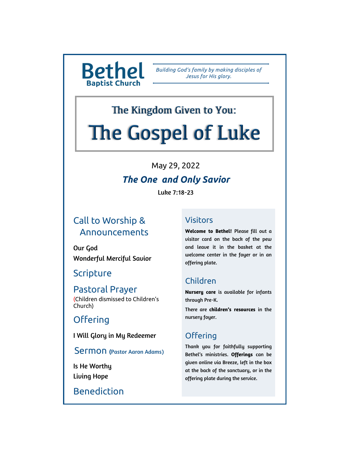

*Building God's family by making disciples of Jesus for His glory.* 

# The Kingdom Given to You:

# The Gospel of Luke

# May 29, 2022 *The One and Only Savior*

Luke 7:18-23

## Call to Worship & Announcements

Our God Wonderful Merciful Savior

#### **Scripture**

Pastoral Prayer (Children dismissed to Children's Church)

## **Offering**

I Will Glory in My Redeemer

Sermon **(**Pastor Aaron Adams)

Is He Worthy Living Hope

Benediction

#### Visitors

**Welcome to Bethel!** Please fill out a visitor card on the back of the pew and leave it in the basket at the welcome center in the foyer or in an offering plate.

## Children

**Nursery care** is available for infants through Pre-K.

There are **children's resources** in the nursery foyer.

## Offering

Thank you for faithfully supporting Bethel's ministries. **Offerings** can be given online via Breeze, left in the box at the back of the sanctuary, or in the offering plate during the service.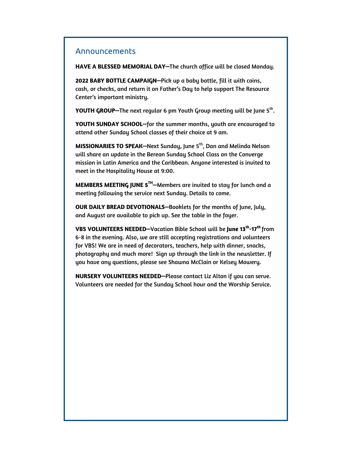#### Announcements

**HAVE A BLESSED MEMORIAL DAY—**The church office will be closed Monday.

**2022 BABY BOTTLE CAMPAIGN—**Pick up a baby bottle, fill it with coins, cash, or checks, and return it on Father's Day to help support The Resource Center's important ministry.

**YOUTH GROUP—The next regular 6 pm Youth Group meeting will be June 5<sup>th</sup>.** 

**YOUTH SUNDAY SCHOOL—**for the summer months, youth are encouraged to attend other Sunday School classes of their choice at 9 am.

**MISSIONARIES TO SPEAK-Next Sunday, June 5<sup>th</sup>, Dan and Melinda Nelson** will share an update in the Berean Sunday School Class on the Converge mission in Latin America and the Caribbean. Anyone interested is invited to meet in the Hospitality House at 9:00.

**MEMBERS MEETING JUNE 5TH—**Members are invited to stay for lunch and a meeting following the service next Sunday. Details to come.

**OUR DAILY BREAD DEVOTIONALS—**Booklets for the months of June, July, and August are available to pick up. See the table in the foyer.

**VBS VOLUNTEERS NEEDED—**Vacation Bible School will be **June 13th-17th** from 6-8 in the evening. Also, we are still accepting registrations and volunteers for VBS! We are in need of decorators, teachers, help with dinner, snacks, photography and much more! Sign up through the link in the newsletter. If you have any questions, please see Shawna McClain or Kelsey Mowery.

**NURSERY VOLUNTEERS NEEDED—**Please contact Liz Alton if you can serve. Volunteers are needed for the Sunday School hour and the Worship Service.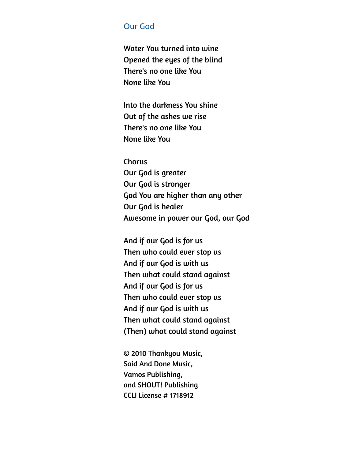#### Our God

Water You turned into wine Opened the eyes of the blind There's no one like You None like You

Into the darkness You shine Out of the ashes we rise There's no one like You None like You

Chorus Our God is greater Our God is stronger God You are higher than any other Our God is healer Awesome in power our God, our God

And if our God is for us Then who could ever stop us And if our God is with us Then what could stand against And if our God is for us Then who could ever stop us And if our God is with us Then what could stand against (Then) what could stand against

© 2010 Thankyou Music, Said And Done Music, Vamos Publishing, and SHOUT! Publishing CCLI License # 1718912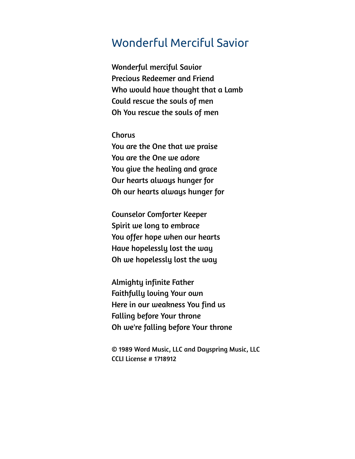# Wonderful Merciful Savior

Wonderful merciful Savior Precious Redeemer and Friend Who would have thought that a Lamb Could rescue the souls of men Oh You rescue the souls of men

#### Chorus

You are the One that we praise You are the One we adore You give the healing and grace Our hearts always hunger for Oh our hearts always hunger for

Counselor Comforter Keeper Spirit we long to embrace You offer hope when our hearts Have hopelessly lost the way Oh we hopelessly lost the way

Almighty infinite Father Faithfully loving Your own Here in our weakness You find us Falling before Your throne Oh we're falling before Your throne

© 1989 Word Music, LLC and Dayspring Music, LLC CCLI License # 1718912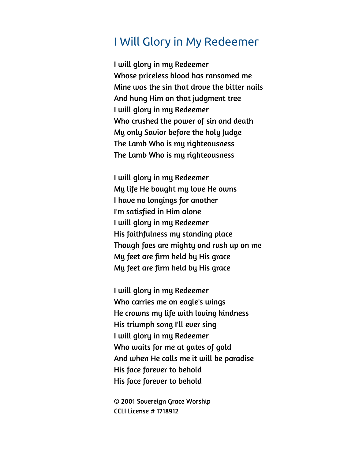# I Will Glory in My Redeemer

I will glory in my Redeemer Whose priceless blood has ransomed me Mine was the sin that drove the bitter nails And hung Him on that judgment tree I will glory in my Redeemer Who crushed the power of sin and death My only Savior before the holy Judge The Lamb Who is my righteousness The Lamb Who is my righteousness

I will glory in my Redeemer My life He bought my love He owns I have no longings for another I'm satisfied in Him alone I will glory in my Redeemer His faithfulness my standing place Though foes are mighty and rush up on me My feet are firm held by His grace My feet are firm held by His grace

I will glory in my Redeemer Who carries me on eagle's wings He crowns my life with loving kindness His triumph song I'll ever sing I will glory in my Redeemer Who waits for me at gates of gold And when He calls me it will be paradise His face forever to behold His face forever to behold

© 2001 Sovereign Grace Worship CCLI License # 1718912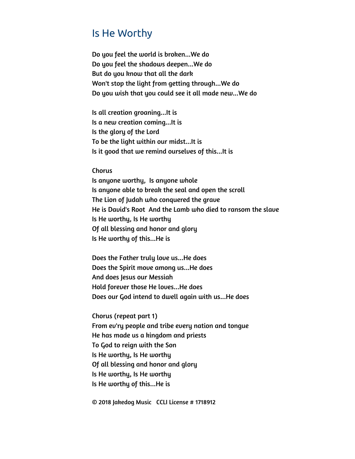## Is He Worthy

Do you feel the world is broken...We do Do you feel the shadows deepen...We do But do you know that all the dark Won't stop the light from getting through...We do Do you wish that you could see it all made new...We do

Is all creation groaning...It is Is a new creation coming...It is Is the glory of the Lord To be the light within our midst...It is Is it good that we remind ourselves of this...It is

#### Chorus

Is anyone worthy, Is anyone whole Is anyone able to break the seal and open the scroll The Lion of Judah who conquered the grave He is David's Root And the Lamb who died to ransom the slave Is He worthy, Is He worthy Of all blessing and honor and glory Is He worthy of this...He is

Does the Father truly love us...He does Does the Spirit move among us...He does And does Jesus our Messiah Hold forever those He loves...He does Does our God intend to dwell again with us...He does

Chorus (repeat part 1) From ev'ry people and tribe every nation and tongue He has made us a kingdom and priests To God to reign with the Son Is He worthy, Is He worthy Of all blessing and honor and glory Is He worthy, Is He worthy Is He worthy of this...He is

© 2018 Jakedog Music CCLI License # 1718912